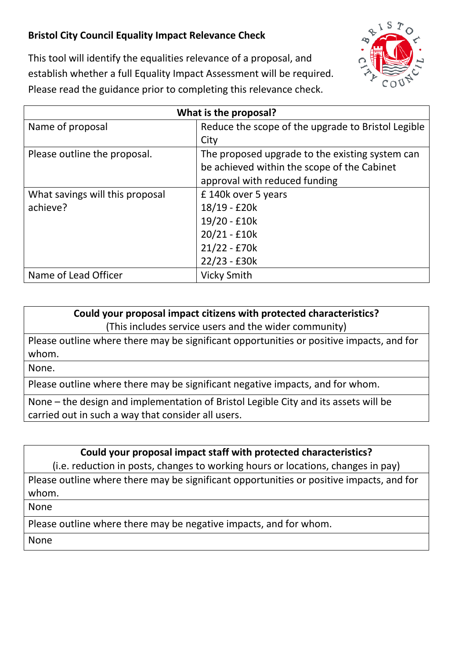## **Bristol City Council Equality Impact Relevance Check**



This tool will identify the equalities relevance of a proposal, and establish whether a full Equality Impact Assessment will be required. Please read the guidance prior to completing this relevance check.

| What is the proposal?           |                                                    |
|---------------------------------|----------------------------------------------------|
| Name of proposal                | Reduce the scope of the upgrade to Bristol Legible |
|                                 | City                                               |
| Please outline the proposal.    | The proposed upgrade to the existing system can    |
|                                 | be achieved within the scope of the Cabinet        |
|                                 | approval with reduced funding                      |
| What savings will this proposal | £140k over 5 years                                 |
| achieve?                        | 18/19 - £20k                                       |
|                                 | 19/20 - £10k                                       |
|                                 | $20/21 - £10k$                                     |
|                                 | $21/22 - £70k$                                     |
|                                 | $22/23 - £30k$                                     |
| Name of Lead Officer            | <b>Vicky Smith</b>                                 |

## **Could your proposal impact citizens with protected characteristics?**

(This includes service users and the wider community)

Please outline where there may be significant opportunities or positive impacts, and for whom.

None.

Please outline where there may be significant negative impacts, and for whom.

None – the design and implementation of Bristol Legible City and its assets will be carried out in such a way that consider all users.

**Could your proposal impact staff with protected characteristics?**

(i.e. reduction in posts, changes to working hours or locations, changes in pay)

Please outline where there may be significant opportunities or positive impacts, and for whom.

None

Please outline where there may be negative impacts, and for whom.

None